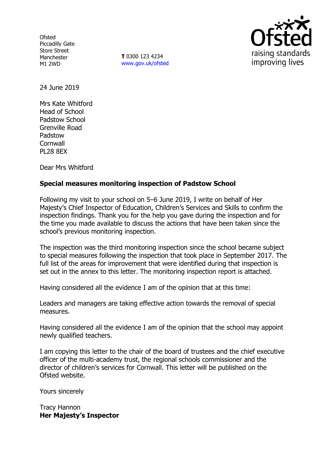**Ofsted** Piccadilly Gate Store Street Manchester M1 2WD

**T** 0300 123 4234 www.gov.uk/ofsted



24 June 2019

Mrs Kate Whitford Head of School Padstow School Grenville Road Padstow **Cornwall** PL28 8EX

Dear Mrs Whitford

# **Special measures monitoring inspection of Padstow School**

Following my visit to your school on 5–6 June 2019, I write on behalf of Her Majesty's Chief Inspector of Education, Children's Services and Skills to confirm the inspection findings. Thank you for the help you gave during the inspection and for the time you made available to discuss the actions that have been taken since the school's previous monitoring inspection.

The inspection was the third monitoring inspection since the school became subject to special measures following the inspection that took place in September 2017. The full list of the areas for improvement that were identified during that inspection is set out in the annex to this letter. The monitoring inspection report is attached.

Having considered all the evidence I am of the opinion that at this time:

Leaders and managers are taking effective action towards the removal of special measures.

Having considered all the evidence I am of the opinion that the school may appoint newly qualified teachers.

I am copying this letter to the chair of the board of trustees and the chief executive officer of the multi-academy trust, the regional schools commissioner and the director of children's services for Cornwall. This letter will be published on the Ofsted website.

Yours sincerely

Tracy Hannon **Her Majesty's Inspector**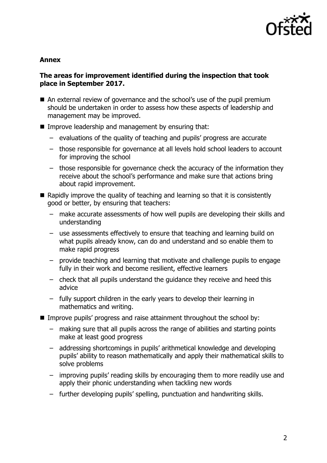

### **Annex**

## **The areas for improvement identified during the inspection that took place in September 2017.**

- An external review of governance and the school's use of the pupil premium should be undertaken in order to assess how these aspects of leadership and management may be improved.
- **IMPROVE LEADERSHIP and management by ensuring that:** 
	- evaluations of the quality of teaching and pupils' progress are accurate
	- those responsible for governance at all levels hold school leaders to account for improving the school
	- those responsible for governance check the accuracy of the information they receive about the school's performance and make sure that actions bring about rapid improvement.
- $\blacksquare$  Rapidly improve the quality of teaching and learning so that it is consistently good or better, by ensuring that teachers:
	- make accurate assessments of how well pupils are developing their skills and understanding
	- use assessments effectively to ensure that teaching and learning build on what pupils already know, can do and understand and so enable them to make rapid progress
	- provide teaching and learning that motivate and challenge pupils to engage fully in their work and become resilient, effective learners
	- check that all pupils understand the guidance they receive and heed this advice
	- fully support children in the early years to develop their learning in mathematics and writing.
- Improve pupils' progress and raise attainment throughout the school by:
	- making sure that all pupils across the range of abilities and starting points make at least good progress
	- addressing shortcomings in pupils' arithmetical knowledge and developing pupils' ability to reason mathematically and apply their mathematical skills to solve problems
	- improving pupils' reading skills by encouraging them to more readily use and apply their phonic understanding when tackling new words
	- further developing pupils' spelling, punctuation and handwriting skills.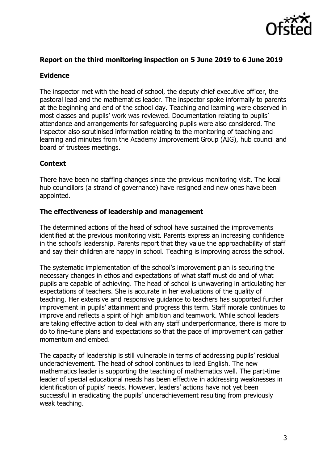

## **Report on the third monitoring inspection on 5 June 2019 to 6 June 2019**

### **Evidence**

The inspector met with the head of school, the deputy chief executive officer, the pastoral lead and the mathematics leader. The inspector spoke informally to parents at the beginning and end of the school day. Teaching and learning were observed in most classes and pupils' work was reviewed. Documentation relating to pupils' attendance and arrangements for safeguarding pupils were also considered. The inspector also scrutinised information relating to the monitoring of teaching and learning and minutes from the Academy Improvement Group (AIG), hub council and board of trustees meetings.

### **Context**

There have been no staffing changes since the previous monitoring visit. The local hub councillors (a strand of governance) have resigned and new ones have been appointed.

#### **The effectiveness of leadership and management**

The determined actions of the head of school have sustained the improvements identified at the previous monitoring visit. Parents express an increasing confidence in the school's leadership. Parents report that they value the approachability of staff and say their children are happy in school. Teaching is improving across the school.

The systematic implementation of the school's improvement plan is securing the necessary changes in ethos and expectations of what staff must do and of what pupils are capable of achieving. The head of school is unwavering in articulating her expectations of teachers. She is accurate in her evaluations of the quality of teaching. Her extensive and responsive guidance to teachers has supported further improvement in pupils' attainment and progress this term. Staff morale continues to improve and reflects a spirit of high ambition and teamwork. While school leaders are taking effective action to deal with any staff underperformance, there is more to do to fine-tune plans and expectations so that the pace of improvement can gather momentum and embed.

The capacity of leadership is still vulnerable in terms of addressing pupils' residual underachievement. The head of school continues to lead English. The new mathematics leader is supporting the teaching of mathematics well. The part-time leader of special educational needs has been effective in addressing weaknesses in identification of pupils' needs. However, leaders' actions have not yet been successful in eradicating the pupils' underachievement resulting from previously weak teaching.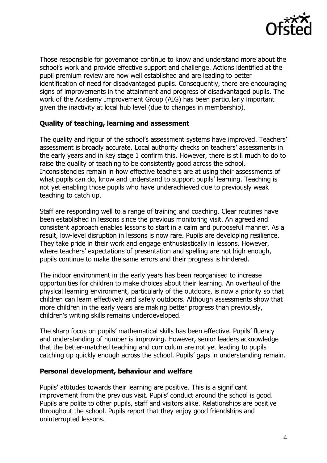

Those responsible for governance continue to know and understand more about the school's work and provide effective support and challenge. Actions identified at the pupil premium review are now well established and are leading to better identification of need for disadvantaged pupils. Consequently, there are encouraging signs of improvements in the attainment and progress of disadvantaged pupils. The work of the Academy Improvement Group (AIG) has been particularly important given the inactivity at local hub level (due to changes in membership).

# **Quality of teaching, learning and assessment**

The quality and rigour of the school's assessment systems have improved. Teachers' assessment is broadly accurate. Local authority checks on teachers' assessments in the early years and in key stage 1 confirm this. However, there is still much to do to raise the quality of teaching to be consistently good across the school. Inconsistencies remain in how effective teachers are at using their assessments of what pupils can do, know and understand to support pupils' learning. Teaching is not yet enabling those pupils who have underachieved due to previously weak teaching to catch up.

Staff are responding well to a range of training and coaching. Clear routines have been established in lessons since the previous monitoring visit. An agreed and consistent approach enables lessons to start in a calm and purposeful manner. As a result, low-level disruption in lessons is now rare. Pupils are developing resilience. They take pride in their work and engage enthusiastically in lessons. However, where teachers' expectations of presentation and spelling are not high enough, pupils continue to make the same errors and their progress is hindered.

The indoor environment in the early years has been reorganised to increase opportunities for children to make choices about their learning. An overhaul of the physical learning environment, particularly of the outdoors, is now a priority so that children can learn effectively and safely outdoors. Although assessments show that more children in the early years are making better progress than previously, children's writing skills remains underdeveloped.

The sharp focus on pupils' mathematical skills has been effective. Pupils' fluency and understanding of number is improving. However, senior leaders acknowledge that the better-matched teaching and curriculum are not yet leading to pupils catching up quickly enough across the school. Pupils' gaps in understanding remain.

## **Personal development, behaviour and welfare**

Pupils' attitudes towards their learning are positive. This is a significant improvement from the previous visit. Pupils' conduct around the school is good. Pupils are polite to other pupils, staff and visitors alike. Relationships are positive throughout the school. Pupils report that they enjoy good friendships and uninterrupted lessons.